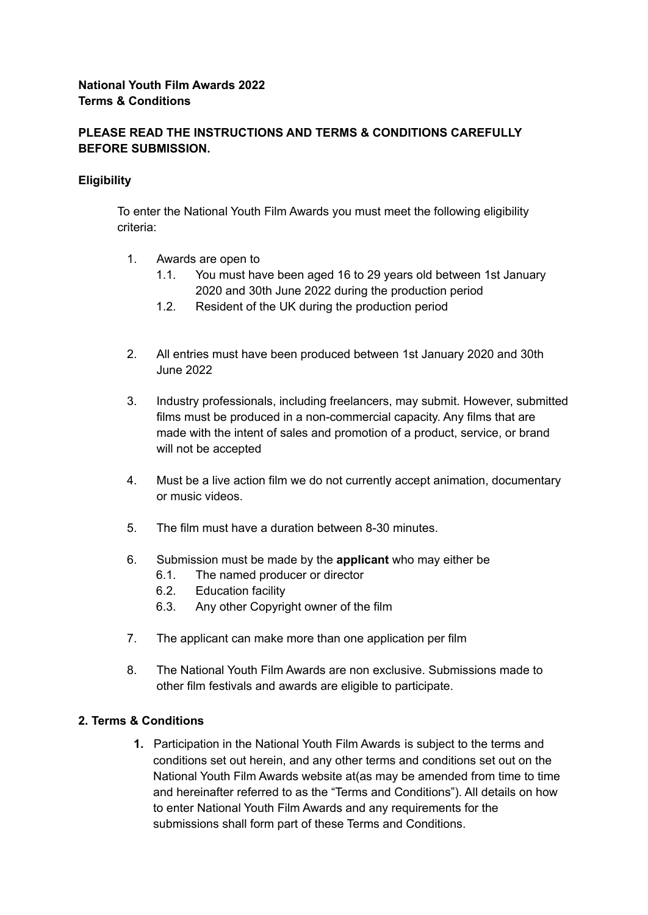# **PLEASE READ THE INSTRUCTIONS AND TERMS & CONDITIONS CAREFULLY BEFORE SUBMISSION.**

# **Eligibility**

To enter the National Youth Film Awards you must meet the following eligibility criteria:

- 1. Awards are open to
	- 1.1. You must have been aged 16 to 29 years old between 1st January 2020 and 30th June 2022 during the production period
	- 1.2. Resident of the UK during the production period
- 2. All entries must have been produced between 1st January 2020 and 30th June 2022
- 3. Industry professionals, including freelancers, may submit. However, submitted films must be produced in a non-commercial capacity. Any films that are made with the intent of sales and promotion of a product, service, or brand will not be accepted
- 4. Must be a live action film we do not currently accept animation, documentary or music videos.
- 5. The film must have a duration between 8-30 minutes.
- 6. Submission must be made by the **applicant** who may either be
	- 6.1. The named producer or director
	- 6.2. Education facility
	- 6.3. Any other Copyright owner of the film
- 7. The applicant can make more than one application per film
- 8. The National Youth Film Awards are non exclusive. Submissions made to other film festivals and awards are eligible to participate.

### **2. Terms & Conditions**

**1.** Participation in the National Youth Film Awards is subject to the terms and conditions set out herein, and any other terms and conditions set out on the National Youth Film Awards website at(as may be amended from time to time and hereinafter referred to as the "Terms and Conditions"). All details on how to enter National Youth Film Awards and any requirements for the submissions shall form part of these Terms and Conditions.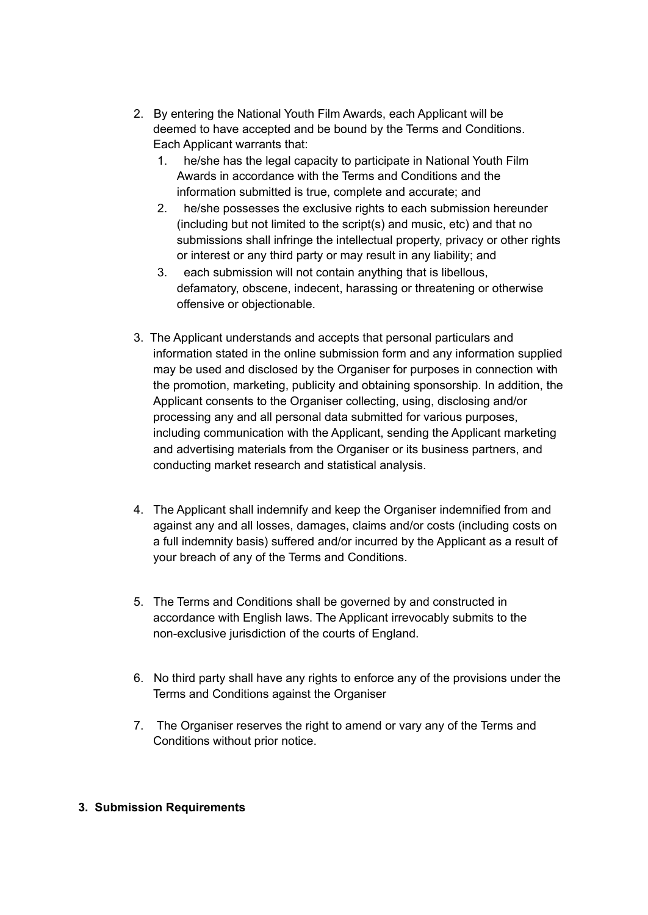- 2. By entering the National Youth Film Awards, each Applicant will be deemed to have accepted and be bound by the Terms and Conditions. Each Applicant warrants that:
	- 1. he/she has the legal capacity to participate in National Youth Film Awards in accordance with the Terms and Conditions and the information submitted is true, complete and accurate; and
	- 2. he/she possesses the exclusive rights to each submission hereunder (including but not limited to the script(s) and music, etc) and that no submissions shall infringe the intellectual property, privacy or other rights or interest or any third party or may result in any liability; and
	- 3. each submission will not contain anything that is libellous, defamatory, obscene, indecent, harassing or threatening or otherwise offensive or objectionable.
- 3. The Applicant understands and accepts that personal particulars and information stated in the online submission form and any information supplied may be used and disclosed by the Organiser for purposes in connection with the promotion, marketing, publicity and obtaining sponsorship. In addition, the Applicant consents to the Organiser collecting, using, disclosing and/or processing any and all personal data submitted for various purposes, including communication with the Applicant, sending the Applicant marketing and advertising materials from the Organiser or its business partners, and conducting market research and statistical analysis.
- 4. The Applicant shall indemnify and keep the Organiser indemnified from and against any and all losses, damages, claims and/or costs (including costs on a full indemnity basis) suffered and/or incurred by the Applicant as a result of your breach of any of the Terms and Conditions.
- 5. The Terms and Conditions shall be governed by and constructed in accordance with English laws. The Applicant irrevocably submits to the non-exclusive jurisdiction of the courts of England.
- 6. No third party shall have any rights to enforce any of the provisions under the Terms and Conditions against the Organiser
- 7. The Organiser reserves the right to amend or vary any of the Terms and Conditions without prior notice.

### **3. Submission Requirements**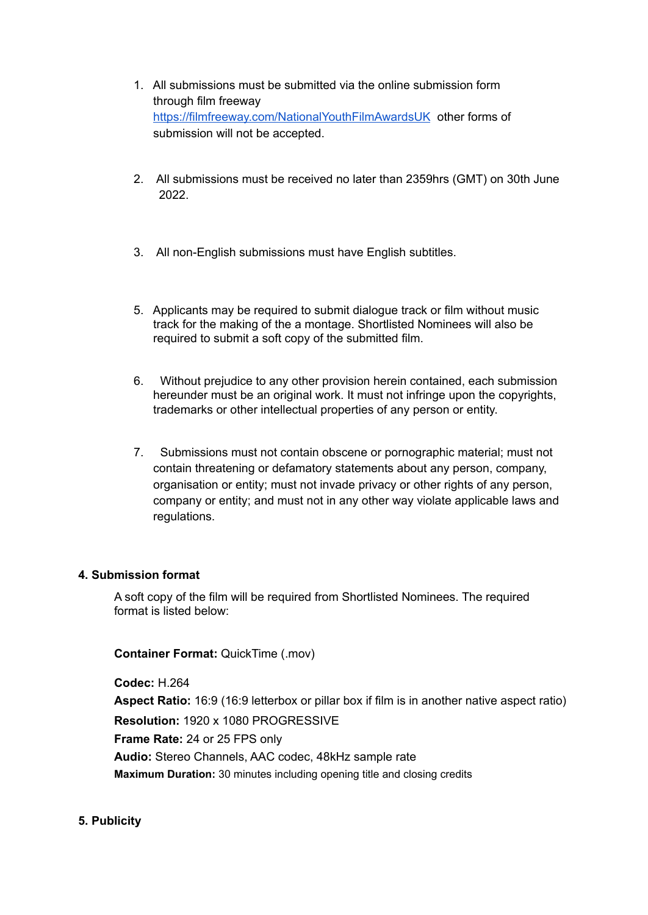- 1. All submissions must be submitted via the online submission form through film freeway <https://filmfreeway.com/NationalYouthFilmAwardsUK> other forms of submission will not be accepted.
- 2. All submissions must be received no later than 2359hrs (GMT) on 30th June 2022.
- 3. All non-English submissions must have English subtitles.
- 5. Applicants may be required to submit dialogue track or film without music track for the making of the a montage. Shortlisted Nominees will also be required to submit a soft copy of the submitted film.
- 6. Without prejudice to any other provision herein contained, each submission hereunder must be an original work. It must not infringe upon the copyrights, trademarks or other intellectual properties of any person or entity.
- 7. Submissions must not contain obscene or pornographic material; must not contain threatening or defamatory statements about any person, company, organisation or entity; must not invade privacy or other rights of any person, company or entity; and must not in any other way violate applicable laws and regulations.

### **4. Submission format**

A soft copy of the film will be required from Shortlisted Nominees. The required format is listed below:

# **Container Format:** QuickTime (.mov)

**Codec:** H.264 **Aspect Ratio:** 16:9 (16:9 letterbox or pillar box if film is in another native aspect ratio) **Resolution:** 1920 x 1080 PROGRESSIVE **Frame Rate:** 24 or 25 FPS only **Audio:** Stereo Channels, AAC codec, 48kHz sample rate **Maximum Duration:** 30 minutes including opening title and closing credits

### **5. Publicity**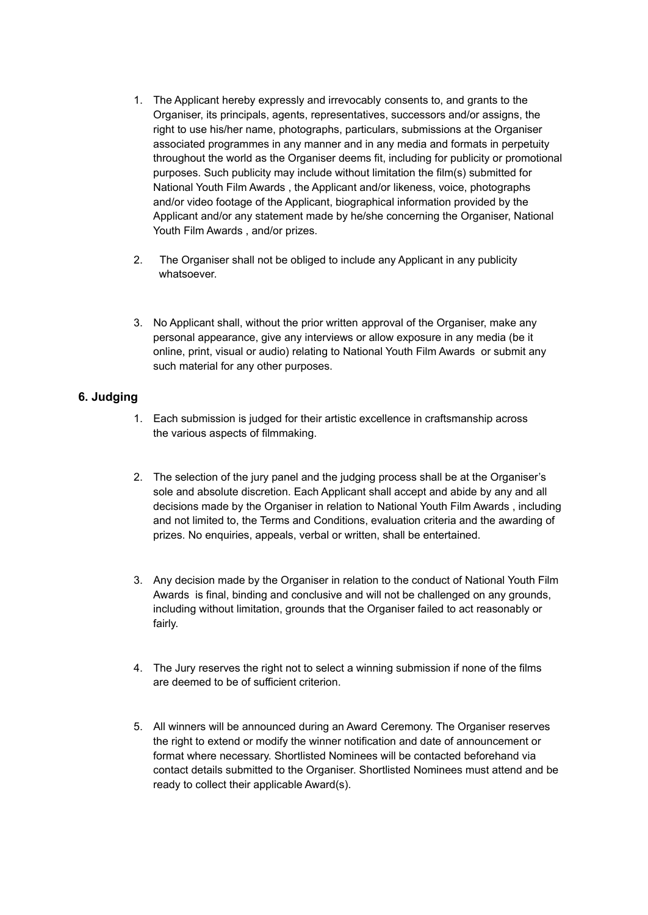- 1. The Applicant hereby expressly and irrevocably consents to, and grants to the Organiser, its principals, agents, representatives, successors and/or assigns, the right to use his/her name, photographs, particulars, submissions at the Organiser associated programmes in any manner and in any media and formats in perpetuity throughout the world as the Organiser deems fit, including for publicity or promotional purposes. Such publicity may include without limitation the film(s) submitted for National Youth Film Awards , the Applicant and/or likeness, voice, photographs and/or video footage of the Applicant, biographical information provided by the Applicant and/or any statement made by he/she concerning the Organiser, National Youth Film Awards , and/or prizes.
- 2. The Organiser shall not be obliged to include any Applicant in any publicity whatsoever.
- 3. No Applicant shall, without the prior written approval of the Organiser, make any personal appearance, give any interviews or allow exposure in any media (be it online, print, visual or audio) relating to National Youth Film Awards or submit any such material for any other purposes.

### **6. Judging**

- 1. Each submission is judged for their artistic excellence in craftsmanship across the various aspects of filmmaking.
- 2. The selection of the jury panel and the judging process shall be at the Organiser's sole and absolute discretion. Each Applicant shall accept and abide by any and all decisions made by the Organiser in relation to National Youth Film Awards , including and not limited to, the Terms and Conditions, evaluation criteria and the awarding of prizes. No enquiries, appeals, verbal or written, shall be entertained.
- 3. Any decision made by the Organiser in relation to the conduct of National Youth Film Awards is final, binding and conclusive and will not be challenged on any grounds, including without limitation, grounds that the Organiser failed to act reasonably or fairly.
- 4. The Jury reserves the right not to select a winning submission if none of the films are deemed to be of sufficient criterion.
- 5. All winners will be announced during an Award Ceremony. The Organiser reserves the right to extend or modify the winner notification and date of announcement or format where necessary. Shortlisted Nominees will be contacted beforehand via contact details submitted to the Organiser. Shortlisted Nominees must attend and be ready to collect their applicable Award(s).